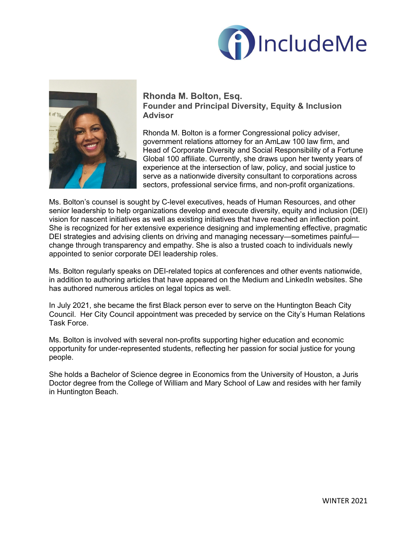



**Rhonda M. Bolton, Esq. Founder and Principal Diversity, Equity & Inclusion Advisor**

Rhonda M. Bolton is a former Congressional policy adviser, government relations attorney for an AmLaw 100 law firm, and Head of Corporate Diversity and Social Responsibility of a Fortune Global 100 affiliate. Currently, she draws upon her twenty years of experience at the intersection of law, policy, and social justice to serve as a nationwide diversity consultant to corporations across sectors, professional service firms, and non-profit organizations.

Ms. Bolton's counsel is sought by C-level executives, heads of Human Resources, and other senior leadership to help organizations develop and execute diversity, equity and inclusion (DEI) vision for nascent initiatives as well as existing initiatives that have reached an inflection point. She is recognized for her extensive experience designing and implementing effective, pragmatic DEI strategies and advising clients on driving and managing necessary—sometimes painful change through transparency and empathy. She is also a trusted coach to individuals newly appointed to senior corporate DEI leadership roles.

Ms. Bolton regularly speaks on DEI-related topics at conferences and other events nationwide, in addition to authoring articles that have appeared on the Medium and LinkedIn websites. She has authored numerous articles on legal topics as well.

In July 2021, she became the first Black person ever to serve on the Huntington Beach City Council. Her City Council appointment was preceded by service on the City's Human Relations Task Force.

Ms. Bolton is involved with several non-profits supporting higher education and economic opportunity for under-represented students, reflecting her passion for social justice for young people.

She holds a Bachelor of Science degree in Economics from the University of Houston, a Juris Doctor degree from the College of William and Mary School of Law and resides with her family in Huntington Beach.